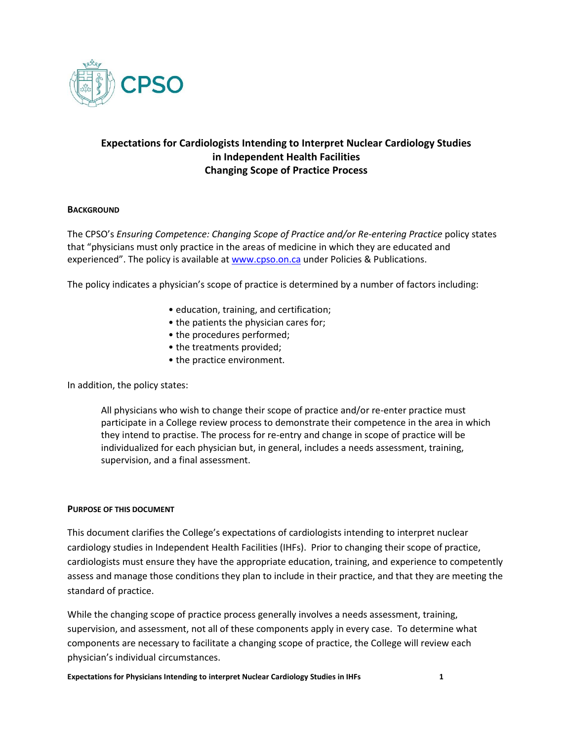

# **Expectations for Cardiologists Intending to Interpret Nuclear Cardiology Studies in Independent Health Facilities Changing Scope of Practice Process**

### **BACKGROUND**

The CPSO's *Ensuring Competence: Changing Scope of Practice and/or Re-entering Practice* policy states that "physicians must only practice in the areas of medicine in which they are educated and experienced". The policy is available at [www.cpso.on.ca](http://www.cpso.on.ca/) under Policies & Publications.

The policy indicates a physician's scope of practice is determined by a number of factors including:

- education, training, and certification;
- the patients the physician cares for;
- the procedures performed;
- the treatments provided;
- the practice environment.

In addition, the policy states:

All physicians who wish to change their scope of practice and/or re-enter practice must participate in a College review process to demonstrate their competence in the area in which they intend to practise. The process for re-entry and change in scope of practice will be individualized for each physician but, in general, includes a needs assessment, training, supervision, and a final assessment.

#### **PURPOSE OF THIS DOCUMENT**

This document clarifies the College's expectations of cardiologists intending to interpret nuclear cardiology studies in Independent Health Facilities (IHFs). Prior to changing their scope of practice, cardiologists must ensure they have the appropriate education, training, and experience to competently assess and manage those conditions they plan to include in their practice, and that they are meeting the standard of practice.

While the changing scope of practice process generally involves a needs assessment, training, supervision, and assessment, not all of these components apply in every case. To determine what components are necessary to facilitate a changing scope of practice, the College will review each physician's individual circumstances.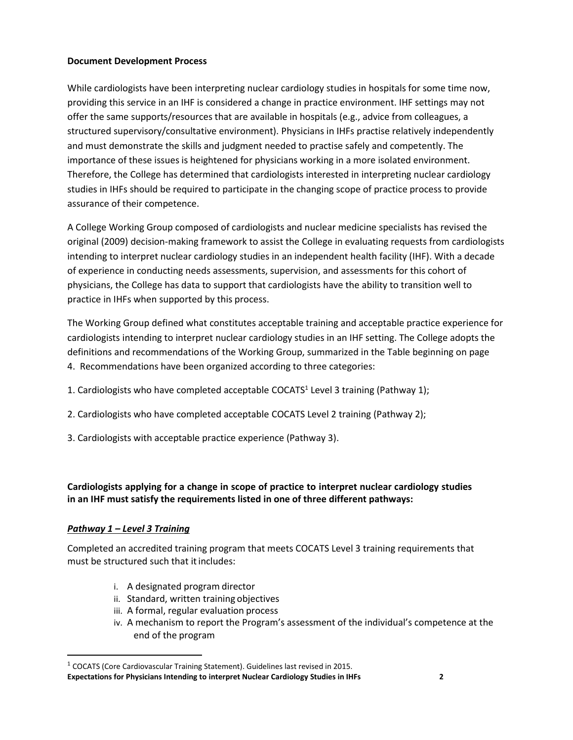## **Document Development Process**

While cardiologists have been interpreting nuclear cardiology studies in hospitals for some time now, providing this service in an IHF is considered a change in practice environment. IHF settings may not offer the same supports/resources that are available in hospitals (e.g., advice from colleagues, a structured supervisory/consultative environment). Physicians in IHFs practise relatively independently and must demonstrate the skills and judgment needed to practise safely and competently. The importance of these issues is heightened for physicians working in a more isolated environment. Therefore, the College has determined that cardiologists interested in interpreting nuclear cardiology studies in IHFs should be required to participate in the changing scope of practice process to provide assurance of their competence.

A College Working Group composed of cardiologists and nuclear medicine specialists has revised the original (2009) decision-making framework to assist the College in evaluating requests from cardiologists intending to interpret nuclear cardiology studies in an independent health facility (IHF). With a decade of experience in conducting needs assessments, supervision, and assessments for this cohort of physicians, the College has data to support that cardiologists have the ability to transition well to practice in IHFs when supported by this process.

The Working Group defined what constitutes acceptable training and acceptable practice experience for cardiologists intending to interpret nuclear cardiology studies in an IHF setting. The College adopts the definitions and recommendations of the Working Group, summarized in the Table beginning on page 4. Recommendations have been organized according to three categories:

- 1. Cardiologists who have completed acceptable COCATS<sup>1</sup> Level 3 training (Pathway 1);
- 2. Cardiologists who have completed acceptable COCATS Level 2 training (Pathway 2);
- 3. Cardiologists with acceptable practice experience (Pathway 3).

# **Cardiologists applying for a change in scope of practice to interpret nuclear cardiology studies in an IHF must satisfy the requirements listed in one of three different pathways:**

## *Pathway 1 – Level 3 Training*

Completed an accredited training program that meets COCATS Level 3 training requirements that must be structured such that it includes:

- i. A designated program director
- ii. Standard, written training objectives
- iii. A formal, regular evaluation process
- iv. A mechanism to report the Program's assessment of the individual's competence at the end of the program

 $1$  COCATS (Core Cardiovascular Training Statement). Guidelines last revised in 2015.

**Expectations for Physicians Intending to interpret Nuclear Cardiology Studies in IHFs 2**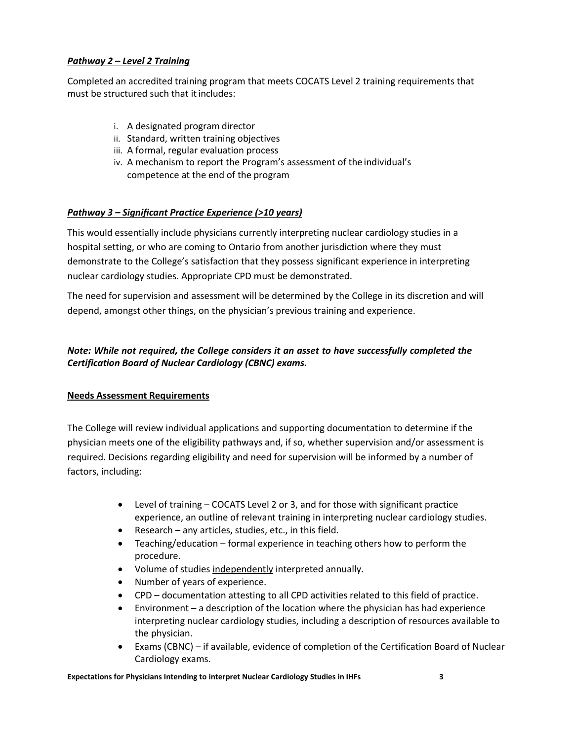## *Pathway 2 – Level 2 Training*

Completed an accredited training program that meets COCATS Level 2 training requirements that must be structured such that it includes:

- i. A designated program director
- ii. Standard, written training objectives
- iii. A formal, regular evaluation process
- iv. A mechanism to report the Program's assessment of the individual's competence at the end of the program

## *Pathway 3 – Significant Practice Experience (>10 years)*

This would essentially include physicians currently interpreting nuclear cardiology studies in a hospital setting, or who are coming to Ontario from another jurisdiction where they must demonstrate to the College's satisfaction that they possess significant experience in interpreting nuclear cardiology studies. Appropriate CPD must be demonstrated.

The need for supervision and assessment will be determined by the College in its discretion and will depend, amongst other things, on the physician's previous training and experience.

## *Note: While not required, the College considers it an asset to have successfully completed the Certification Board of Nuclear Cardiology (CBNC) exams.*

### **Needs Assessment Requirements**

The College will review individual applications and supporting documentation to determine if the physician meets one of the eligibility pathways and, if so, whether supervision and/or assessment is required. Decisions regarding eligibility and need for supervision will be informed by a number of factors, including:

- Level of training COCATS Level 2 or 3, and for those with significant practice experience, an outline of relevant training in interpreting nuclear cardiology studies.
- Research any articles, studies, etc., in this field.
- Teaching/education formal experience in teaching others how to perform the procedure.
- Volume of studies independently interpreted annually.
- Number of years of experience.
- CPD documentation attesting to all CPD activities related to this field of practice.
- Environment a description of the location where the physician has had experience interpreting nuclear cardiology studies, including a description of resources available to the physician.
- Exams (CBNC) if available, evidence of completion of the Certification Board of Nuclear Cardiology exams.